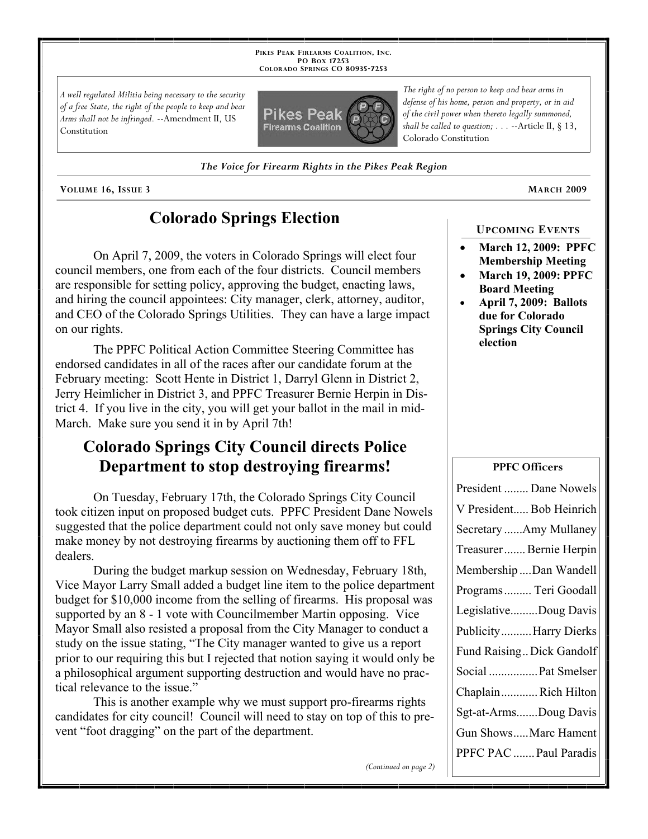**PIKES PEAK FIREARMS COALITION, INC. PO BOX 17253 COLORADO SPRINGS CO 80935 -7253**

*A well regulated Militia being necessary to the security of a free State, the right of the people to keep and bear Arms shall not be infringed.* --Amendment II, US Constitution



*The right of no person to keep and bear arms in defense of his home, person and property, or in aid of the civil power when thereto legally summoned, shall be called to question; . . .* --Article II, § 13, Colorado Constitution

*The Voice for Firearm Rights in the Pikes Peak Region*

**VOLUME 16, ISSUE 3 MARCH 2009**

## **Colorado Springs Election**

On April 7, 2009, the voters in Colorado Springs will elect four council members, one from each of the four districts. Council members are responsible for setting policy, approving the budget, enacting laws, and hiring the council appointees: City manager, clerk, attorney, auditor, and CEO of the Colorado Springs Utilities. They can have a large impact on our rights.

The PPFC Political Action Committee Steering Committee has endorsed candidates in all of the races after our candidate forum at the February meeting: Scott Hente in District 1, Darryl Glenn in District 2, Jerry Heimlicher in District 3, and PPFC Treasurer Bernie Herpin in District 4. If you live in the city, you will get your ballot in the mail in mid-March. Make sure you send it in by April 7th!

## **Colorado Springs City Council directs Police Department to stop destroying firearms!**

On Tuesday, February 17th, the Colorado Springs City Council took citizen input on proposed budget cuts. PPFC President Dane Nowels suggested that the police department could not only save money but could make money by not destroying firearms by auctioning them off to FFL dealers.

During the budget markup session on Wednesday, February 18th, Vice Mayor Larry Small added a budget line item to the police department budget for \$10,000 income from the selling of firearms. His proposal was supported by an 8 - 1 vote with Councilmember Martin opposing. Vice Mayor Small also resisted a proposal from the City Manager to conduct a study on the issue stating, "The City manager wanted to give us a report prior to our requiring this but I rejected that notion saying it would only be a philosophical argument supporting destruction and would have no practical relevance to the issue."

This is another example why we must support pro-firearms rights candidates for city council! Council will need to stay on top of this to prevent "foot dragging" on the part of the department.

# **UPCOMING EVENTS**

- **March 12, 2009: PPFC Membership Meeting**
- **March 19, 2009: PPFC Board Meeting**
- **April 7, 2009: Ballots due for Colorado Springs City Council election**

#### **PPFC Officers**

| President  Dane Nowels    |
|---------------------------|
| V President Bob Heinrich  |
| Secretary Amy Mullaney    |
| Treasurer Bernie Herpin   |
| Membership Dan Wandell    |
| Programs Teri Goodall     |
| LegislativeDoug Davis     |
| PublicityHarry Dierks     |
| Fund Raising Dick Gandolf |
| Social  Pat Smelser       |
| ChaplainRich Hilton       |
| Sgt-at-ArmsDoug Davis     |
| Gun ShowsMarc Hament      |
| PPFC PAC  Paul Paradis    |

*(Continued on page 2)*